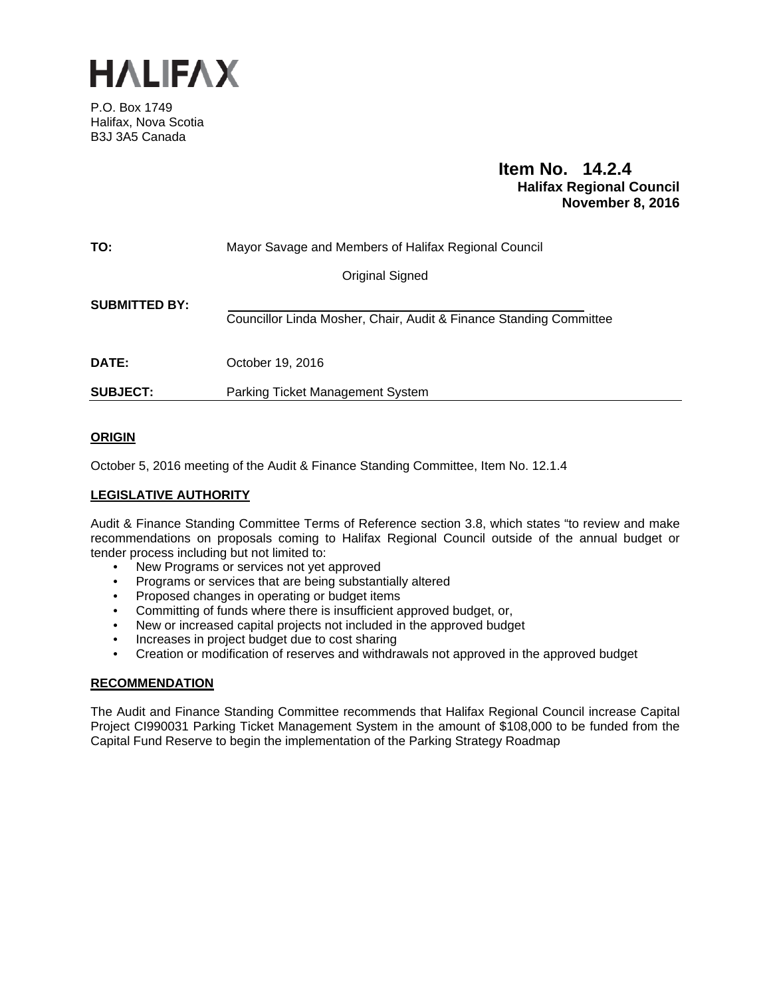

P.O. Box 1749 Halifax, Nova Scotia B3J 3A5 Canada

# **Item No. 14.2.4 Halifax Regional Council November 8, 2016**

| TO:                  | Mayor Savage and Members of Halifax Regional Council               |  |  |
|----------------------|--------------------------------------------------------------------|--|--|
|                      | Original Signed                                                    |  |  |
| <b>SUBMITTED BY:</b> | Councillor Linda Mosher, Chair, Audit & Finance Standing Committee |  |  |
| <b>DATE:</b>         | October 19, 2016                                                   |  |  |
| <b>SUBJECT:</b>      | Parking Ticket Management System                                   |  |  |

# **ORIGIN**

October 5, 2016 meeting of the Audit & Finance Standing Committee, Item No. 12.1.4

# **LEGISLATIVE AUTHORITY**

Audit & Finance Standing Committee Terms of Reference section 3.8, which states "to review and make recommendations on proposals coming to Halifax Regional Council outside of the annual budget or tender process including but not limited to:

- New Programs or services not yet approved
- Programs or services that are being substantially altered
- Proposed changes in operating or budget items
- Committing of funds where there is insufficient approved budget, or,
- New or increased capital projects not included in the approved budget
- Increases in project budget due to cost sharing
- Creation or modification of reserves and withdrawals not approved in the approved budget

# **RECOMMENDATION**

The Audit and Finance Standing Committee recommends that Halifax Regional Council increase Capital Project CI990031 Parking Ticket Management System in the amount of \$108,000 to be funded from the Capital Fund Reserve to begin the implementation of the Parking Strategy Roadmap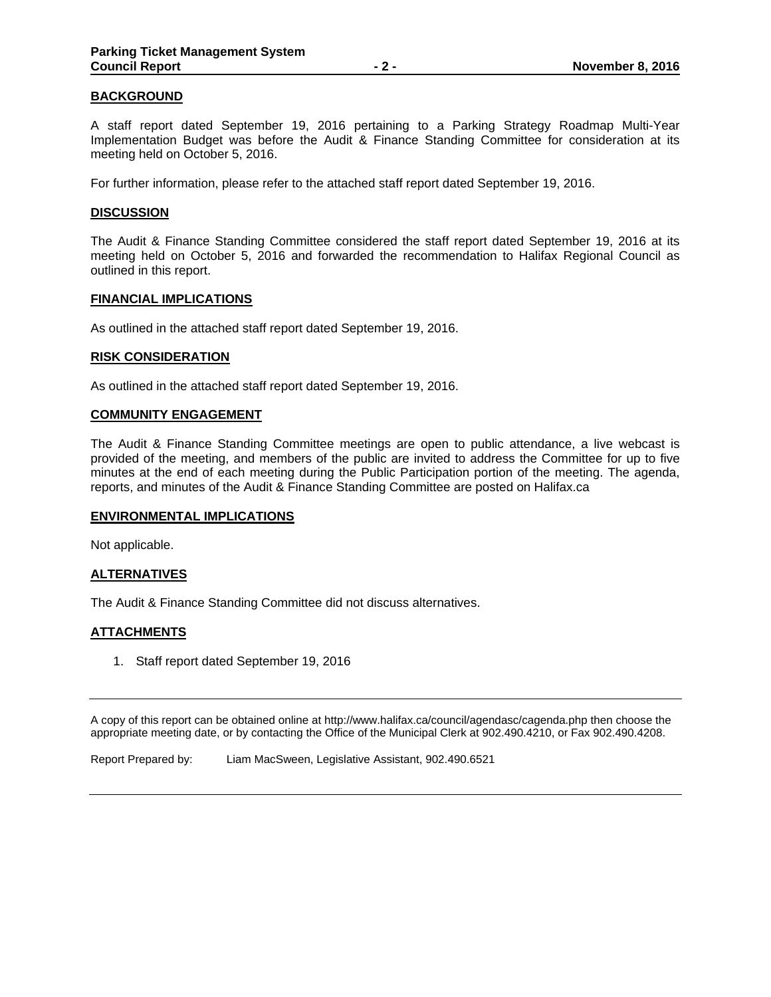## **BACKGROUND**

A staff report dated September 19, 2016 pertaining to a Parking Strategy Roadmap Multi-Year Implementation Budget was before the Audit & Finance Standing Committee for consideration at its meeting held on October 5, 2016.

For further information, please refer to the attached staff report dated September 19, 2016.

### **DISCUSSION**

The Audit & Finance Standing Committee considered the staff report dated September 19, 2016 at its meeting held on October 5, 2016 and forwarded the recommendation to Halifax Regional Council as outlined in this report.

#### **FINANCIAL IMPLICATIONS**

As outlined in the attached staff report dated September 19, 2016.

#### **RISK CONSIDERATION**

As outlined in the attached staff report dated September 19, 2016.

#### **COMMUNITY ENGAGEMENT**

The Audit & Finance Standing Committee meetings are open to public attendance, a live webcast is provided of the meeting, and members of the public are invited to address the Committee for up to five minutes at the end of each meeting during the Public Participation portion of the meeting. The agenda, reports, and minutes of the Audit & Finance Standing Committee are posted on Halifax.ca

### **ENVIRONMENTAL IMPLICATIONS**

Not applicable.

## **ALTERNATIVES**

The Audit & Finance Standing Committee did not discuss alternatives.

### **ATTACHMENTS**

1. Staff report dated September 19, 2016

A copy of this report can be obtained online at http://www.halifax.ca/council/agendasc/cagenda.php then choose the appropriate meeting date, or by contacting the Office of the Municipal Clerk at 902.490.4210, or Fax 902.490.4208.

Report Prepared by: Liam MacSween, Legislative Assistant, 902.490.6521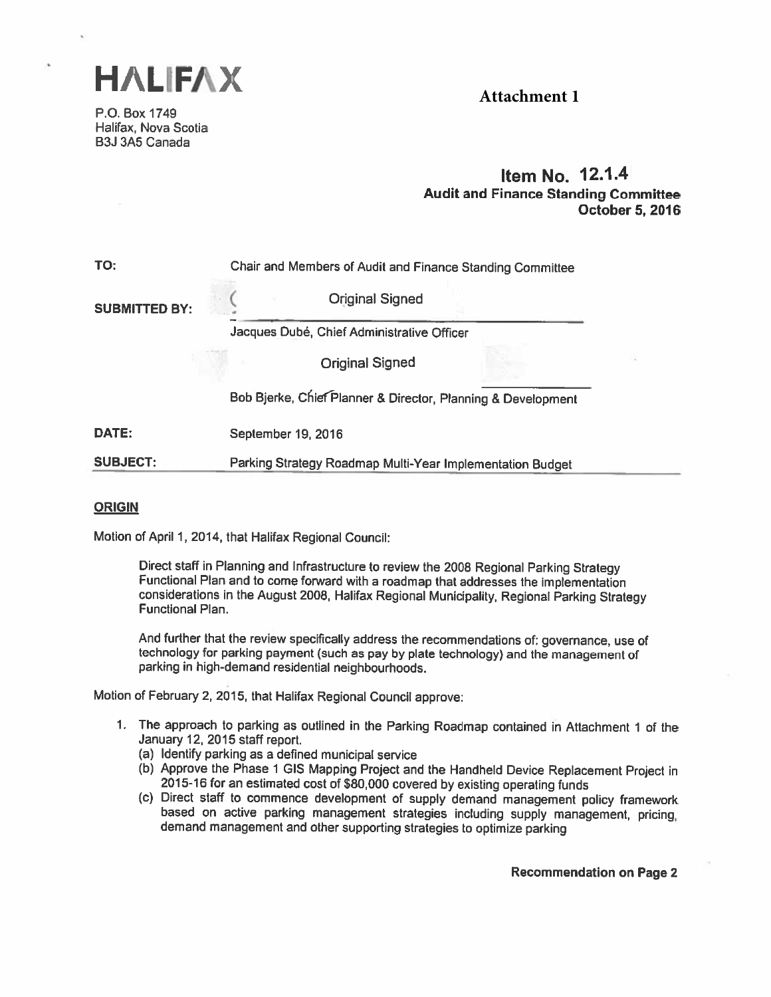

**Attachment 1**

P.O. Box 1749 Halifax, Nova Scotia B3J 3A5 Canada

# Item No. 12.1.4 Audit and Finance Standing Committee October 5, 2016

| TO:                  | Chair and Members of Audit and Finance Standing Committee    |  |  |
|----------------------|--------------------------------------------------------------|--|--|
| <b>SUBMITTED BY:</b> | <b>Original Signed</b>                                       |  |  |
|                      | Jacques Dubé, Chief Administrative Officer                   |  |  |
|                      | <b>Original Signed</b>                                       |  |  |
|                      | Bob Bjerke, Chief Planner & Director, Planning & Development |  |  |
| DATE:                | September 19, 2016                                           |  |  |
| <b>SUBJECT:</b>      | Parking Strategy Roadmap Multi-Year Implementation Budget    |  |  |

### ORIGIN

Motion of April 1,2014, that Halifax Regional Council:

Direct staff in Planning and Infrastructure to review the <sup>2008</sup> Regionai Parking Strategy Functional Plan and to come forward with <sup>a</sup> roadmap that addresses the implementation considerations in the August 2008, Halifax Regional Municipality, Regional Parking Strategy<br>Functional Plan.

And further that the review specifically address the recommendations of: governance, use of technology for parking payment (such as pay by plate technology) and the management of<br>parking in high-demand residential neighbourhoods.

Motion of February 2, 2015, that Halifax Regional Council approve:

- 1. The approach to parking as outlined in the Parking Roadmap contained in Attachment <sup>1</sup> of the January 12, 2015 staff report.
	- (a) Identify parking as <sup>a</sup> defined municipal service
	-
	- (b) Approve the Phase 1 GIS Mapping Project and the Handheld Device Replacement Project in 2015-16 for an estimated cost of \$80,000 covered by existing operating funds (c) Direct staff to commence development of supply dem

Recommendation on Page 2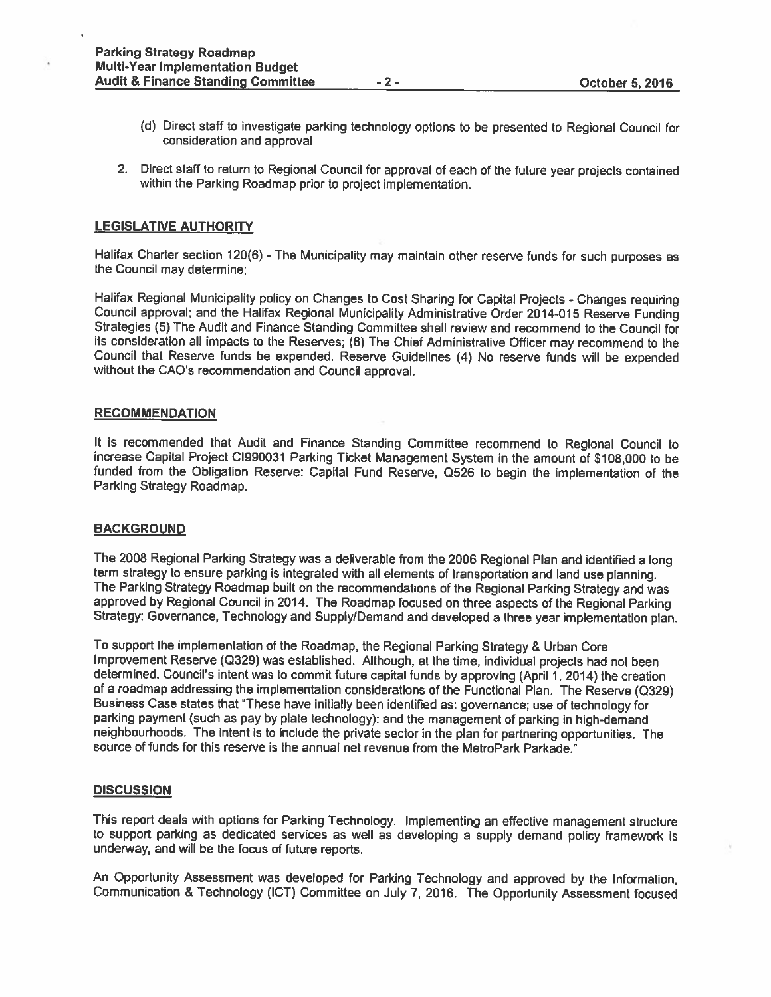- (d) Direct staff to investigate parking technology options to be presented to Regional Council for consideration and approval
- 2. Direct staff to return to Regional Council for approva<sup>l</sup> of each of the future year projects contained within the Parking Roadmap prior to project implementation.

## LEGISLATIVE AUTHORITY

Halifax Charter section 120(6) - The Municipality may maintain other reserve funds for such purposes as the Council may determine;

Halifax Regional Municipality policy on Changes to Cost Sharing for Capital Projects -Changes requiring Council approval; and the Halifax Regional Municipality Administrative Order 2014-015 Reserve Funding Strategies (5) The Audit and Finance Standing Committee shall review and recommend to the Council for its consideration all impacts to the Reserves; (6) The Chief Administrative Officer may recommend to the Council that Reserve funds be expended. Reserve Guidelines (4) No reserve funds will be expended without the CAO's recommendation and Council approval.

#### **RECOMMENDATION**

It is recommended that Audit and Finance Standing Committee recommend to Regional Council to increase Capital Project Cl990031 Parking Ticket Management System in the amount of \$108,000 to be funded from the Obligation Reserve: Capital Fund Reserve, Q526 to begin the implementation of the Parking Strategy Roadmap.

### **BACKGROUND**

The <sup>2008</sup> Regional Parking Strategy was <sup>a</sup> deliverable from the <sup>2006</sup> Regional Plan and identified <sup>a</sup> long term strategy to ensure parking is integrated with all elements of transportation and land use <sup>p</sup>lanning. The Parking Strategy Roadmap built on the recommendations of the Regional Parking Strategy and was approve<sup>d</sup> by Regional Council in 2014. The Roadmap focused on three aspects of the Regional Parking Strategy: Governance, Technology and Supply/Demand and developed <sup>a</sup> three year implementation <sup>p</sup>lan.

To suppor<sup>t</sup> the implementation of the Roadmap, the Regional Parking Strategy & Urban Core Improvement Reserve (Q329) was established. Although, at the time, individual projects had not been determined, Council's intent was to commit future capital funds by approving (April 1, 2014) the creation of <sup>a</sup> roadmap addressing the implementation considerations of the Functional Plan. The Reserve (Q329) Business Case states that "These have initially been identified as: governance; use of technology for parking paymen<sup>t</sup> (such as pay by <sup>p</sup>late technology); and the managemen<sup>t</sup> of parking in high-demand neighbourhoods. The intent is to include the private sector in the <sup>p</sup>lan for partnering opportunities. The source of funds for this reserve is the annual net revenue from the MetroPark Parkade.'

#### **DISCUSSION**

This repor<sup>t</sup> deals with options for Parking Technology. Implementing an effective managemen<sup>t</sup> structure to suppor<sup>t</sup> parking as dedicated services as well as developing <sup>a</sup> supply demand policy framework is underway, and will be the focus of future reports.

An Opportunity Assessment was developed for Parking Technology and approve<sup>d</sup> by the Information, Communication & Technology (ICT) Committee on July 7, 2016. The Opportunity Assessment focused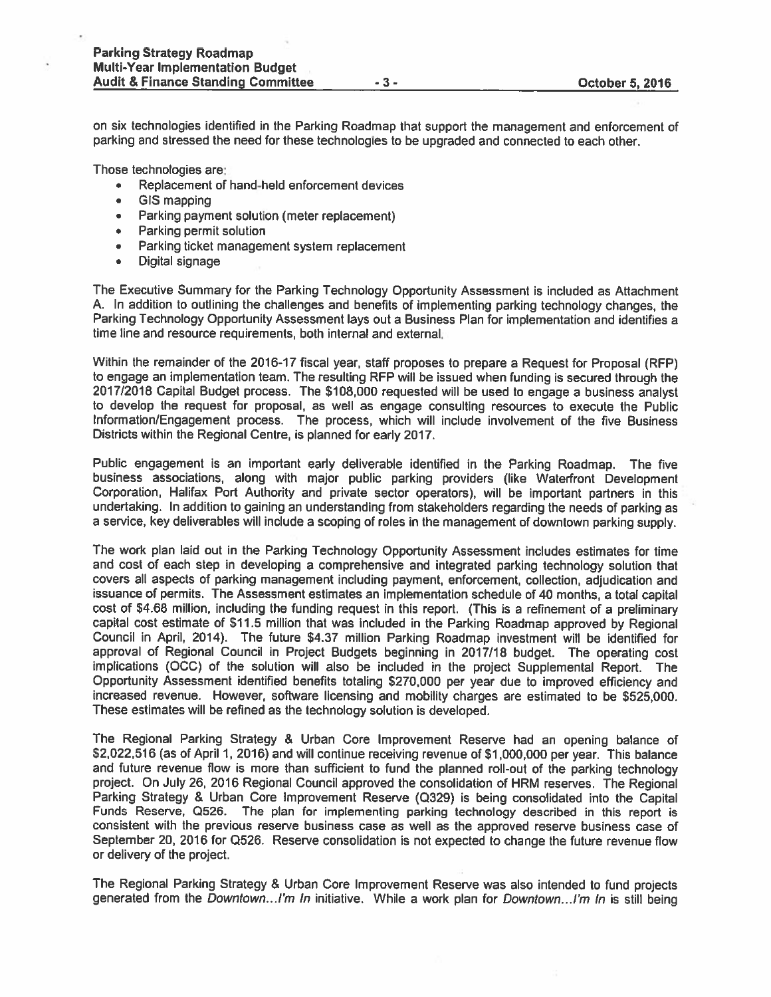on six technologies identified in the Parking Roadmap that suppor<sup>t</sup> the managemen<sup>t</sup> and enforcement of parking and stressed the need for these technologies to be upgraded and connected to each other.

Those technologies are:

- •Replacement of hand-held enforcement devices
- •GIS mapping
- •Parking paymen<sup>t</sup> solution (meter replacement)
- •Parking permit solution
- •Parking ticket managemen<sup>t</sup> system replacement
- •Digital signage

The Executive Summary for the Parking Technology Opportunity Assessment is included as Attachment A. In addition to outlining the challenges and benefits of implementing parking technology changes, the Parking Technology Opportunity Assessment lays out <sup>a</sup> Business Plan for implementation and identifies <sup>a</sup> time line and resource requirements, both internal and external.

Within the remainder of the 2016-17 fiscal year, staff proposes to prepare <sup>a</sup> Request for Proposal (RFP) to engage an implementation team. The resulting RFP will be issued when funding is secured through the 2017/2018 Capital Budget process. The \$108,000 requested will be used to engage a business analyst to develop the reques<sup>t</sup> for proposal, as well as engage consulting resources to execute the Public Information/Engagement process. The process, which will include involvement of the five Business Districts within the Regional Centre, is planned for early 2017.

Public engagemen<sup>t</sup> is an important early deliverable identified in the Parking Roadmap. The five business associations, along with major public parking providers (like Waterfront Development Corporation, Halifax Port Authority and private sector operators), will be important partners in this undertaking. In addition to gaining an understanding from stakeholders regarding the needs of parking as <sup>a</sup> service, key deliverables will include <sup>a</sup> scoping of roles in the managemen<sup>t</sup> of downtown parking supply.

The work plan laid out in the Parking Technology Opportunity Assessment includes estimates for time and cost of each step in developing <sup>a</sup> comprehensive and integrated parking technology solution that covers all aspects of parking managemen<sup>t</sup> including payment, enforcement, collection, adjudication and issuance of permits. The Assessment estimates an implementation schedule of <sup>40</sup> months, <sup>a</sup> total capital cost of \$4.68 million, including the funding reques<sup>t</sup> in this report. (This is <sup>a</sup> refinement of <sup>a</sup> preliminary capital cost estimate of \$11.5 million that was included in the Parking Roadmap approve<sup>d</sup> by Regional Council in April, 2014). The future \$4.37 million Parking Roadmap investment will be identified for approva<sup>l</sup> of Regional Council in Project Budgets beginning in 2017/18 budget. The operating cost implications (DCC) of the solution will also be included in the project Supplemental Report. The Opportunity Assessment identified benefits totaling \$270,000 per year due to improved efficiency and increased revenue. However, software licensing and mobility charges are estimated to be \$525,000. These estimates will be refined as the technology solution is developed.

The Regional Parking Strategy & Urban Core Improvement Reserve had an opening balance of \$2,022,516 (as of April 1, 2016) and will continue receiving revenue of \$1,000,000 per year. This balance and future revenue flow is more than sufficient to fund the <sup>p</sup>lanned roll-out of the parking technology project. On July 26, 2016 Regional Council approved the consolidation of HRM reserves. The Regional Parking Strategy & Urban Core Improvement Reserve (Q329) is being consolidated into the Capita Funds Reserve, Q526. The <sup>p</sup>lan for implementing parking technology described in this repor<sup>t</sup> is consistent with the previous reserve business case as well as the approve<sup>d</sup> reserve business case of September 20, 2016 for Q526. Reserve consolidation is not expected to change the future revenue flow or delivery of the project.

The Regional Parking Strategy & Urban Core Improvement Reserve was also intended to fund projects generated from the Downtown...I'm In initiative. While a work plan for Downtown...I'm In is still being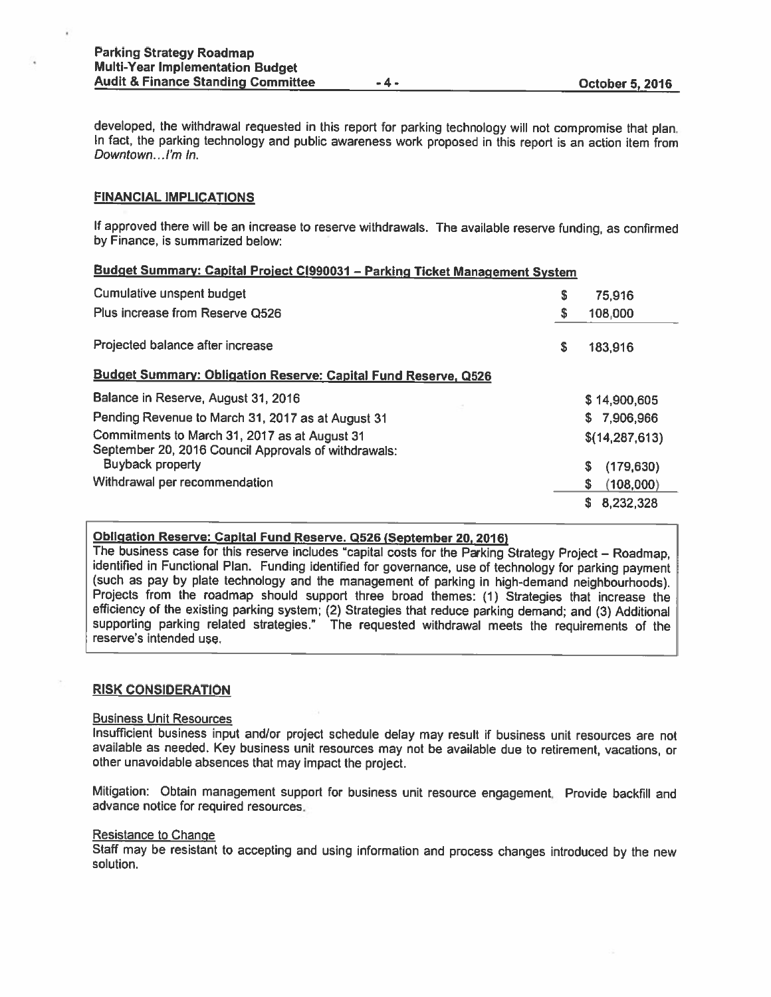developed, the withdrawal requested in this repor<sup>t</sup> for parking technology will not compromise that <sup>p</sup>lan. In fact, the parking technology and public awareness work proposed in this report is an action item from Downtown...I'm In.

### FINANCIAL IMPLICATIONS

If approved there will be an increase to reserve withdrawals. The available reserve funding, as confirmed by Finance, is summarized below:

#### Budget Summary: Capital Project C1990031 - Parking Ticket Management System

| Cumulative unspent budget                                                                             |   | 75,916           |
|-------------------------------------------------------------------------------------------------------|---|------------------|
| Plus increase from Reserve Q526                                                                       |   | 108,000          |
| Projected balance after increase                                                                      | S | 183,916          |
| <b>Budget Summary: Obligation Reserve: Capital Fund Reserve, Q526</b>                                 |   |                  |
| Balance in Reserve, August 31, 2016                                                                   |   | \$14,900,605     |
| Pending Revenue to March 31, 2017 as at August 31                                                     |   | S.<br>7,906,966  |
| Commitments to March 31, 2017 as at August 31<br>September 20, 2016 Council Approvals of withdrawals: |   | \$(14, 287, 613) |
| <b>Buyback property</b>                                                                               |   | S<br>(179, 630)  |
| Withdrawal per recommendation                                                                         |   | S<br>(108,000)   |
|                                                                                                       |   | S<br>8,232,328   |

# Obligation Reserve: Capital Fund Reserve. <sup>0526</sup> (September 20, 2016)

The business case for this reserve includes "capital costs for the Parking Strategy Project — Roadmap, identified in Functional Plan. Funding identified for governance, use of technology for parking payment (such as pay by <sup>p</sup>late technology and the management of parking in high-demand neighbourhoods). Projects from the roadmap should support three broad themes: (1) Strategies that increase the efficiency of the existing parking system: (2) Strategies that reduce parking demand; and (3) Additional supporting parking related strategies." The requested withdrawal meets the requirements of the reserve's intended use.

#### RISK CONSIDERATION

#### Business Unit Resources

Insufficient business input and/or project schedule delay may result if business unit resources are not available as needed. Key business unit resources may not be available due to retirement, vacations, or other unavoidable absences that may impact the project.

Mitigation: Obtain management support for business unit resource engagement. Provide backfill and advance notice for required resources.

#### Resistance to Change

Staff may be resistant to accepting and using information and process changes introduced by the new solution.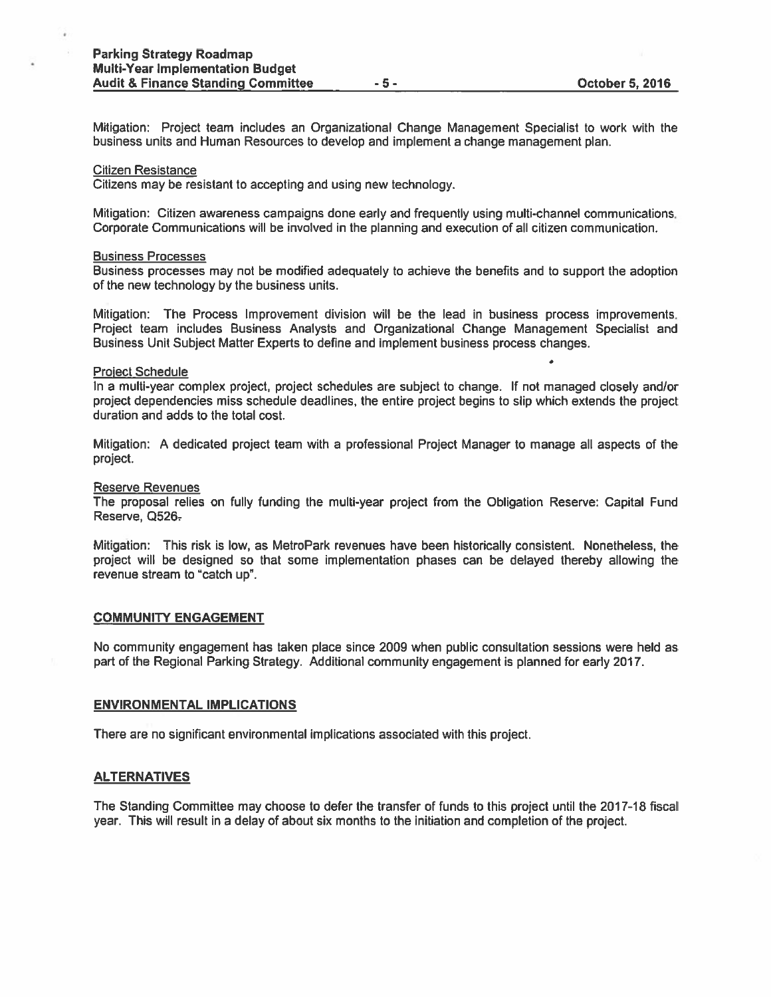Mitigation: Project team includes an Organizational Change Management Specialist to work with the business units and Human Resources to develop and implement <sup>a</sup> change managemen<sup>t</sup> plan.

#### Citizen Resistance

×

Citizens may be resistant to accepting and using new technology.

Mitigation: Citizen awareness campaigns done early and frequently using multi-channel communications. Corporate Communications will be involved in the planning and execution of all citizen communication.

#### Business Processes

Business processes may not be modified adequately to achieve the benefits and to suppor<sup>t</sup> the adoption of the new technology by the business units.

Mitigation: The Process Improvement division will be the lead in business process improvements. Project team includes Business Analysts and Organizational Change Management Specialist and Business Unit Subject Matter Experts to define and implement business process changes.

#### Proiect Schedule

In <sup>a</sup> multi-year complex project, project schedules are subject to change. If not managed closely and/or project dependencies miss schedule deadlines, the entire project begins to slip which extends the project duration and adds to the total cost.

Mitigation: A dedicated project team with <sup>a</sup> professional Project Manager to manage all aspects of the project.

#### Reserve Revenues

The proposal relies on fully funding the multi-year project from the Obligation Reserve: Capital Fund Reserve, Q526-

Mitigation: This risk is low, as MetroPark revenues have been historically consistent. Nonetheless, the project will be designed so that some implementation phases can be delayed thereby allowing the revenue stream to "catch up".

#### COMMUNITY ENGAGEMENT

No community engagemen<sup>t</sup> has taken place since 2009 when public consultation sessions were held as par<sup>t</sup> of the Regional Parking Strategy. Additional community engagemen<sup>t</sup> is planned for early 2017.

#### ENVIRONMENTAL IMPLICATIONS

There are no significant environmental implications associated with this project.

#### ALTERNATIVES

The Standing Committee may choose to defer the transfer of funds to this project until the 2017-18 fiscal year. This will result in <sup>a</sup> delay of about six months to the initiation and completion of the project.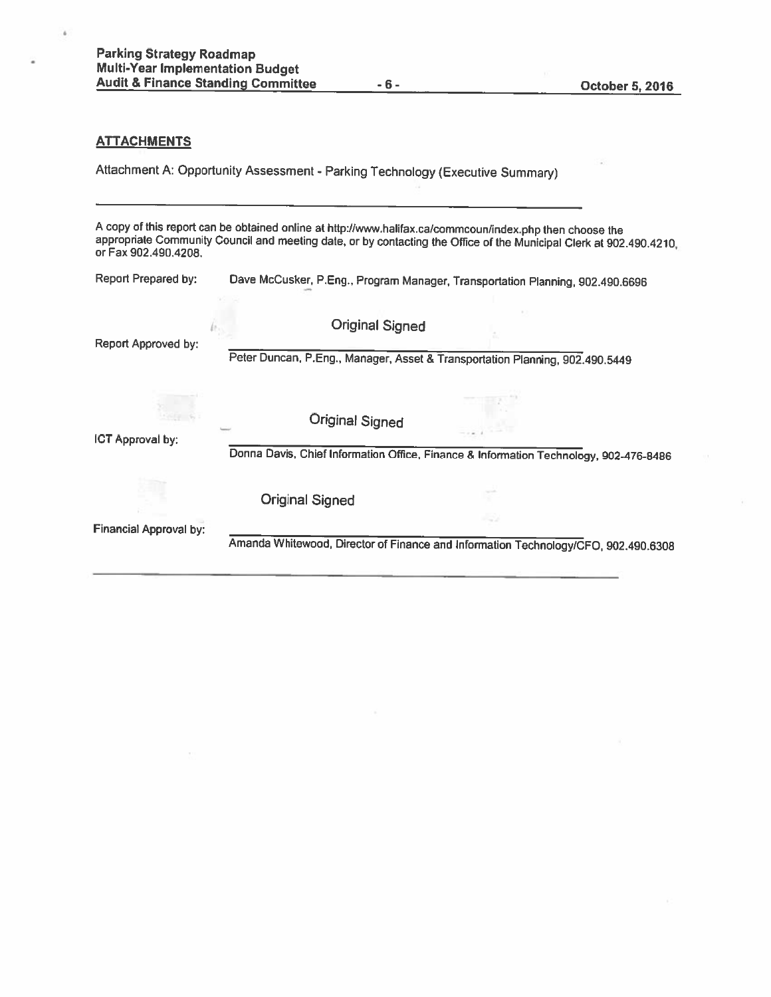# **ATTACHMENTS**

à

Attachment A: Opportunity Assessment - Parking Technology (Executive Summary)

<sup>A</sup> copy of this report can be obtained online at http://wvw.haIifax.ca/commcoun/index.php then choose the appropriate Community Council and meeting date, or by contacting the Office of the Municipal Clerk at 902.490.4210, or Fax 902.490.4208.

| Report Prepared by:           | Dave McCusker, P.Eng., Program Manager, Transportation Planning, 902.490.6696                          |
|-------------------------------|--------------------------------------------------------------------------------------------------------|
| Report Approved by:           | <b>Original Signed</b><br>Peter Duncan, P.Eng., Manager, Asset & Transportation Planning, 902.490.5449 |
| ICT Approval by:              | <b>Original Signed</b>                                                                                 |
|                               | Donna Davis, Chief Information Office, Finance & Information Technology, 902-476-8486                  |
|                               | <b>Original Signed</b>                                                                                 |
| <b>Financial Approval by:</b> | -57<br>Amanda Whitewood, Director of Finance and Information Technology/CFO, 902.490.6308              |
|                               |                                                                                                        |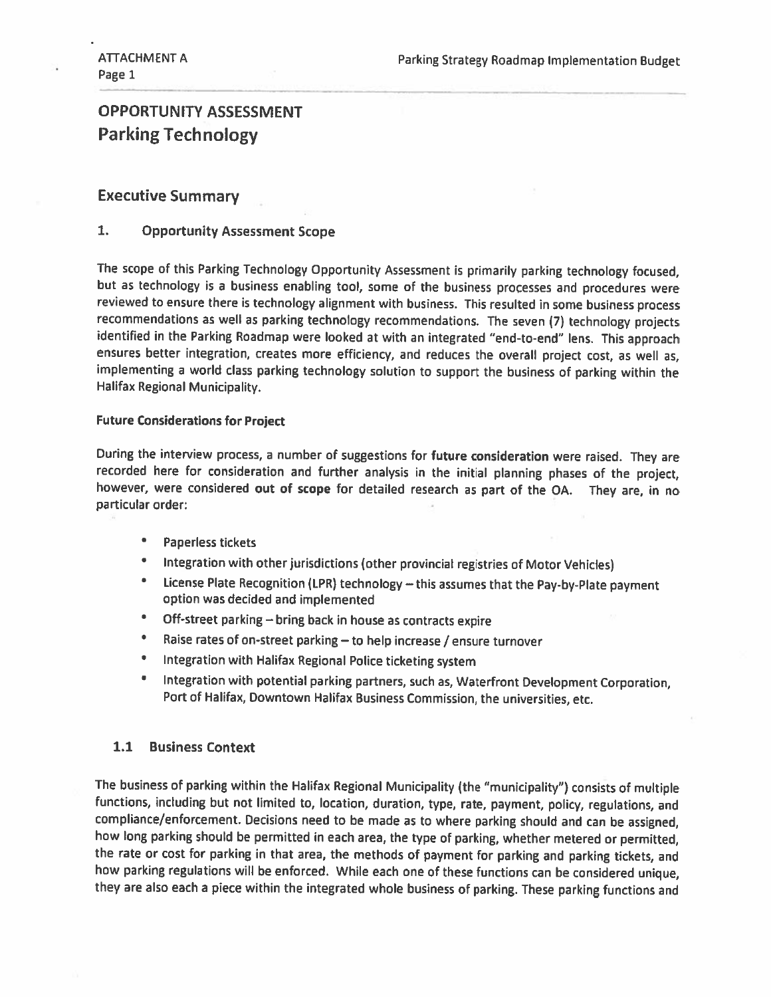# OPPORTUNITY ASSESSMENT Parking Technology

# Executive Summary

# 1. Opportunity Assessment Scope

The scope of this Parking Technology Opportunity Assessment is primarily parking technology focused, but as technology is <sup>a</sup> business enabling tool, some of the business processes and procedures were reviewed to ensure there is technology alignment with business. This resulted in some business process recommendations as well as parking technology recommendations. The seven (7) technology projects identified in the Parking Roadmap were looked at with an integrated "end-to-end" lens. This approach ensures better integration, creates more efficiency, and reduces the overall project cost, as well as, implementing <sup>a</sup> world class parking technology solution to support the business of parking within the Halifax Regional Municipality.

### Future considerations for Project

During the interview process, <sup>a</sup> number of suggestions for future consideration were raised. They are recorded here for consideration and further analysis in the initial <sup>p</sup>lanning <sup>p</sup>hases of the project, however, were considered out of scope for detailed research as part of the OA. They are, in no particular order:

- •Paperless tickets
- $\bullet$ Integration with other jurisdictions (other provincial registries of Motor Vehicles)
- • License Plate Recognition (LPR) technology — this assumes that the Pay-by-Plate payment option was decided and implemented
- $\bullet$ Off-street parking — bring back in house as contracts expire
- $\bullet$ Raise rates of on-street parking  $-$  to help increase / ensure turnover
- $\bullet$ Integration with Halifax Regional Police ticketing system
- • Integration with potential parking partners, such as, Waterfront Development Corporation, Port of Halifax, Downtown Halifax Business Commission, the universities, etc.

# 1.1 Business context

The business of parking within the Halifax Regional Municipality (the "municipality") consists of multiple functions, including but not limited to, location, duration, type, rate, payment, policy, regulations, and compliance/enforcement. Decisions need to be made as to where parking should and can be assigned, how long parking should be permitted in each area, the type of parking, whether metered or permitted, the rate or cost for parking in that area, the methods of payment for parking and parking tickets, and how parking regulations will be enforced. While each one of these functions can be considered unique, they are also each <sup>a</sup> <sup>p</sup>iece within the integrated whole business of parking. These parking functions and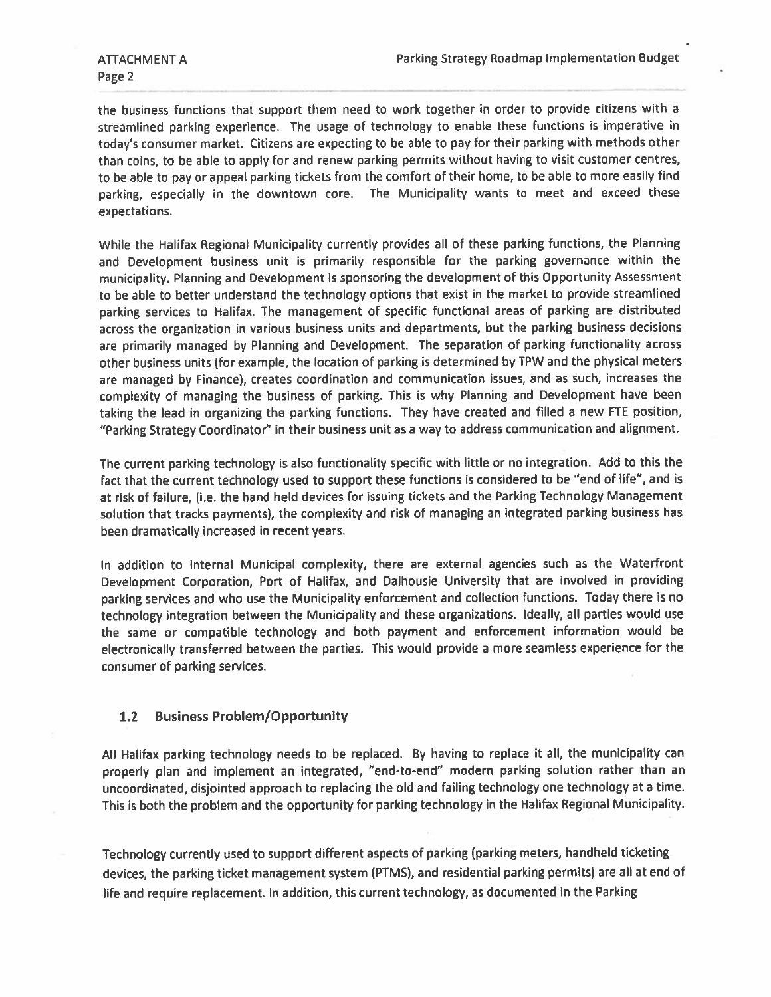the business functions that suppor<sup>t</sup> them need to work together in order to provide citizens with <sup>a</sup> streamlined parking experience. The usage of technology to enable these functions is imperative in today's consumer market. Citizens are expecting to be able to pay for their parking with methods other than coins, to be able to apply for and renew parking permits without having to visit customer centres, to be able to pay or appea<sup>l</sup> parking tickets from the comfort of their home, to be able to more easily find parking, especially in the downtown core. The Municipality wants to meet and exceed these expectations.

While the Halifax Regional Municipality currently provides all of these parking functions, the Planning and Development business unit is primarily responsible for the parking governance within the municipality. Planning and Development is sponsoring the development of this Opportunity Assessment to be able to better understand the technology options that exist in the market to provide streamlined parking services to Halifax. The managemen<sup>t</sup> of specific functional areas of parking are distributed across the organization in various business units and departments, but the parking business decisions are primarily manage<sup>d</sup> by Planning and Development. The separation of parking functionality across other business units (for example, the location of parking is determined by TPW and the <sup>p</sup>hysical meters are manage<sup>d</sup> by Finance), creates coordination and communication issues, and as such, increases the complexity of managing the business of parking. This is why Planning and Development have been taking the lead in organizing the parking functions. They have created and filled <sup>a</sup> new FTE position, "Parking Strategy Coordinator" in their business unit as <sup>a</sup> way to address communication and alignment.

The current parking technology is also functionality specific with little or no integration. Add to this the fact that the current technology used to suppor<sup>t</sup> these functions is considered to be "end of life", and is at risk of failure, (i.e. the hand held devices for issuing tickets and the Parking Technology Management solution that tracks payments), the complexity and risk of managing an integrated parking business has been dramatically increased in recent years.

In addition to internal Municipal complexity, there are external agencies such as the Waterfront Development Corporation, Port of Halifax, and Dalhousie University that are involved in providing parking services and who use the Municipality enforcement and collection functions. Today there is no technology integration between the Municipality and these organizations. Ideally, all parties would use the same or compatible technology and both paymen<sup>t</sup> and enforcement information would be electronically transferred between the parties. This would provide <sup>a</sup> more seamless experience for the consumer of parking services.

# 1.2 Business Problem/Opportunity

All Halifax parking technology needs to be replaced. By having to replace it all, the municipality can properly <sup>p</sup>lan and implement an integrated, "end-to-end" modern parking solution rather than an uncoordinated, disjointed approac<sup>h</sup> to replacing the old and failing technology one technology at <sup>a</sup> time. This is both the problem and the opportunity for parking technology in the Halifax Regional Municipality.

Technology currently used to suppor<sup>t</sup> different aspects of parking (parking meters, handheld ticketing devices, the parking ticket managemen<sup>t</sup> system (PTMS), and residential parking permits) are all at end of life and require replacement. In addition, this current technology, as documented in the Parking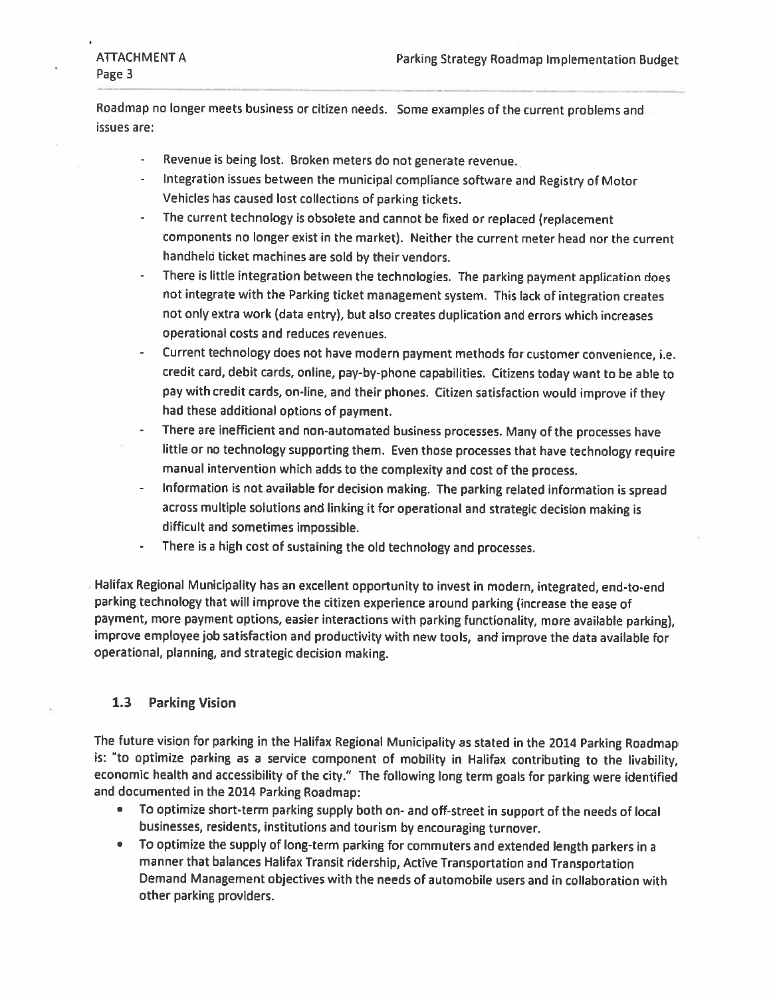Roadmap no longer meets business or citizen needs. Some examples of the current problems and issues are:

- Revenue is being lost. Broken meters do not generate revenue.
- Integration issues between the municipal compliance software and Registry of Motor Vehicles has caused lost collections of parking tickets.
- The current technology is obsolete and cannot be fixed or replaced (replacement components no longer exist in the market). Neither the current meter head nor the current handheld ticket machines are sold by their vendors.
- - There is little integration between the technologies. The parking payment application does not integrate with the Parking ticket management system. This lack of integration creates not only extra work (data entry), but also creates duplication and errors which increases operational costs and reduces revenues.
- Current technology does not have modern payment methods for customer convenience, i.e. credit card, debit cards, online, pay-by-phone capabilities. Citizens today want to be able to pay with credit cards, on-line, and their <sup>p</sup>hones. Citizen satisfaction would improve if they had these additional options of payment.
- There are inefficient and non-automated business processes. Many of the processes have little or no technology supporting them. Even those processes that have technology require manual intervention which adds to the complexity and cost of the process.
- Information is not available for decision making. The parking related information is spread across multiple solutions and linking it for operational and strategic decision making is difficult and sometimes impossible.
- -There is <sup>a</sup> high cost of sustaining the old technology and processes.

Halifax Regional Municipality has an excellent opportunity to invest in modern, integrated, end-to-end parking technology that will improve the citizen experience around parking (increase the ease of payment, more payment options, easier interactions with parking functionality, more available parking), improve employee job satisfaction and productivity with new tools, and improve the data available for operational, planning, and strategic decision making.

# 1.3 Parking Vision

The future vision for parking in the Halifax Regional Municipality as stated in the <sup>2014</sup> Parking Roadmap is: "to optimize parking as <sup>a</sup> service component of mobility in Halifax contributing to the livability, economic health and accessibility of the city." The following long term goals for parking were identified and documented in the <sup>2014</sup> Parking Roadmap:

- To optimize short-term parking supply both on- and off-street in support of the needs of local businesses, residents, institutions and tourism by encouraging turnover.
- To optimize the supply of long-term parking for commuters and extended length parkers in <sup>a</sup> manner that balances Halifax Transit ridership, Active Transportation and Transportation Demand Management objectives with the needs of automobile users and in collaboration with other parking providers.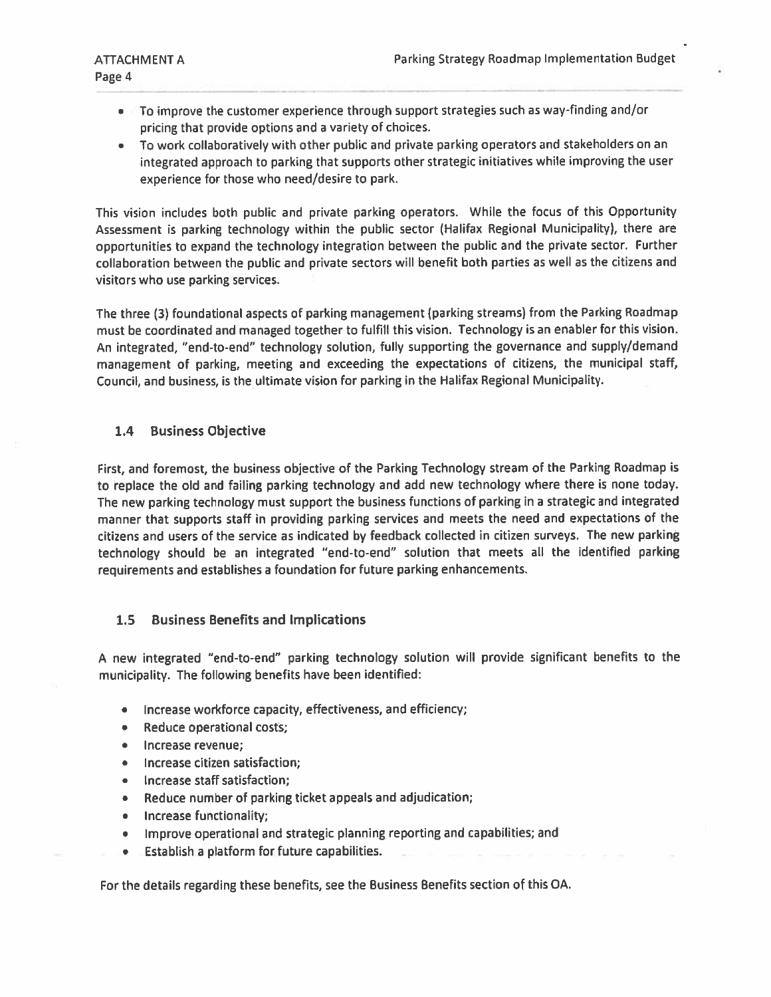- To improve the customer experience through suppor<sup>t</sup> strategies such as way-finding and/or pricing that provide options and <sup>a</sup> variety of choices.
- To work collaboratively with other public and private parking operators and stakeholders on an integrated approac<sup>h</sup> to parking that supports other strategic initiatives while improving the user experience for those who need/desire to park.

This vision includes both public and private parking operators. While the focus of this Opportunity Assessment is parking technology within the public sector (Halifax Regional Municipality), there are opportunities to expan<sup>d</sup> the technology integration between the public and the private sector. Further collaboration between the public and private sectors will benefit both parties as well as the citizens and visitors who use parking services.

The three (3) foundational aspects of parking managemen<sup>t</sup> (parking streams) from the Parking Roadmap must be coordinated and manage<sup>d</sup> together to fulfill this vision. Technology is an enabler for this vision. An integrated, "end-to-end" technology solution, fully supporting the governance and supply/demand management of parking, meeting and exceeding the expectations of citizens, the municipal staff, Council, and business, is the ultimate vision for parking in the Halifax Regional Municipality.

# 1.4 Business Objective

First, and foremost, the business objective of the Parking Technology stream of the Parking Roadmap is to replace the old and failing parking technology and add new technology where there is none today. The new parking technology must suppor<sup>t</sup> the business functions of parking in <sup>a</sup> strategic and integrated manner that supports staff in providing parking services and meets the need and expectations of the citizens and users of the service as indicated by feedback collected in citizen surveys. The new parking technology should be an integrated "end-to-end" solution that meets all the identified parking requirements and establishes <sup>a</sup> foundation for future parking enhancements.

# 1.5 Business Benefits and Implications

<sup>A</sup> new integrated "end-to-end" parking technology solution will provide significant benefits to the municipality. The following benefits have been identified:

- •Increase workforce capacity, effectiveness, and efficiency;
- $\bullet$ Reduce operational costs;
- •Increase revenue;
- •Increase citizen satisfaction;
- •Increase staff satisfaction;
- $\bullet$ Reduce number of parking ticket appeals and adjudication;
- $\bullet$ Increase functionality;
- •Improve operational and strategic <sup>p</sup>lanning reporting and capabilities; and
- •Establish <sup>a</sup> platform for future capabilities.

For the details regarding these benefits, see the Business Benefits section of this OA.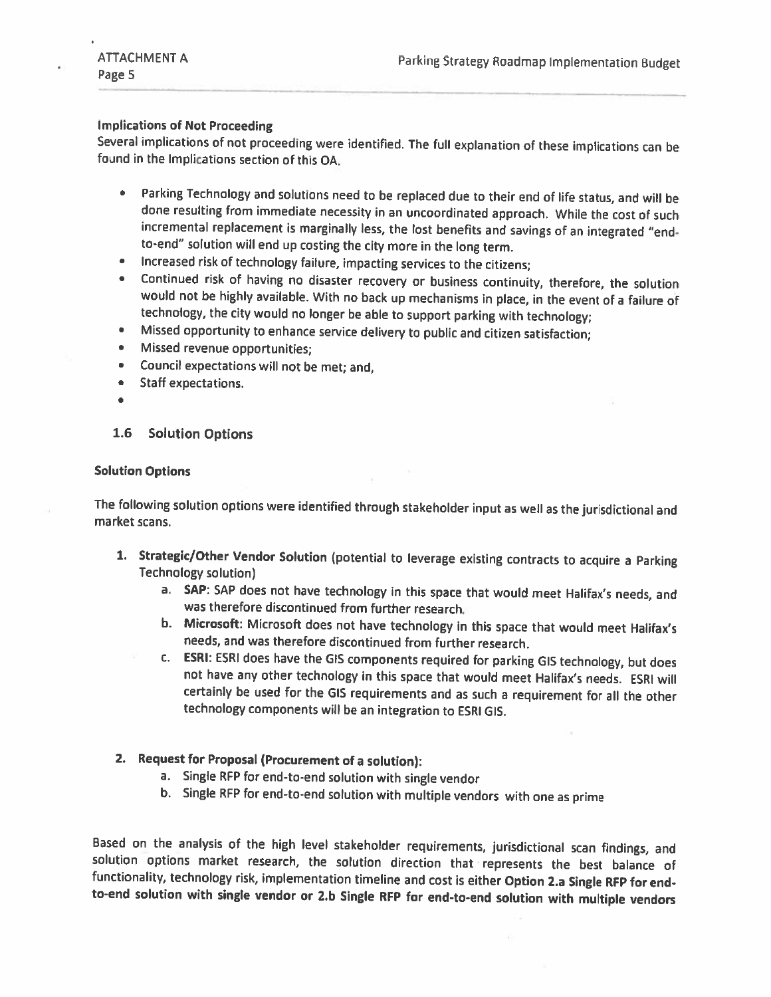# Implications of Not Proceeding

Several implications of not proceeding were identified. The full explanation of these implications can be found in the Implications section of this OA.

- Parking Technology and solutions need to be replaced due to their end of life status, and will be  $\bullet$ done resulting from immediate necessity in an uncoordinated approach. While the cost of such incremental replacement is marginally less, the lost benefits and savings of an integrated "end to-end" solution will end up costing the city more in the long term.
- •Increased risk of technology failure, impacting services to the citizens;
- • Continued risk of having no disaster recovery or business continuity, therefore, the solution would not be highly available. With no back up mechanisms in <sup>p</sup>lace, in the event of <sup>a</sup> failure of technology, the city would no longer be able to support parking with technology;
- •Missed opportunity to enhance service delivery to public and citizen satisfaction;
- •Missed revenue opportunities;
- •Council expectations will not be met; and,
- Staff expectations.
- $\blacksquare$

# 1.6 Solution Options

# Solution Options

The following solution options were identified through stakeholder input as well as the jurisdictional and market scans.

- 1. Strategic/Other Vendor Solution (potential to leverage existing contracts to acquire <sup>a</sup> Parking Technology solution)
	- a. SAP: SAP does not have technology in this space that would meet Halifax's needs, and was therefore discontinued from further research.
	- b. Microsoft: Microsoft does not have technology in this space that would meet Halifax's needs, and was therefore discontinued from further research.
	- c. ESRI: ESRI does have the GIS components required for parking <sup>615</sup> technology, but does not have any other technology in this space that would meet Halifax's needs. ESRI will certainly be used for the GIS requirements and as such <sup>a</sup> requirement for all the other technology components will be an integration to ESRI GIS.

# 2. Request for Proposal (Procurement of <sup>a</sup> solution):

- a. Single RFP for end-to-end solution with single vendor
- b. Single RFP for end-to-end solution with multiple vendors with one as prime

Based on the analysis of the high level stakeholder requirements, jurisdictional scan findings, and solution options market research, the solution direction that represents the best balance of functionality, technology ris to-end solution with single vendor or 2.b Single RFP for end-to-end solution with multiple vendors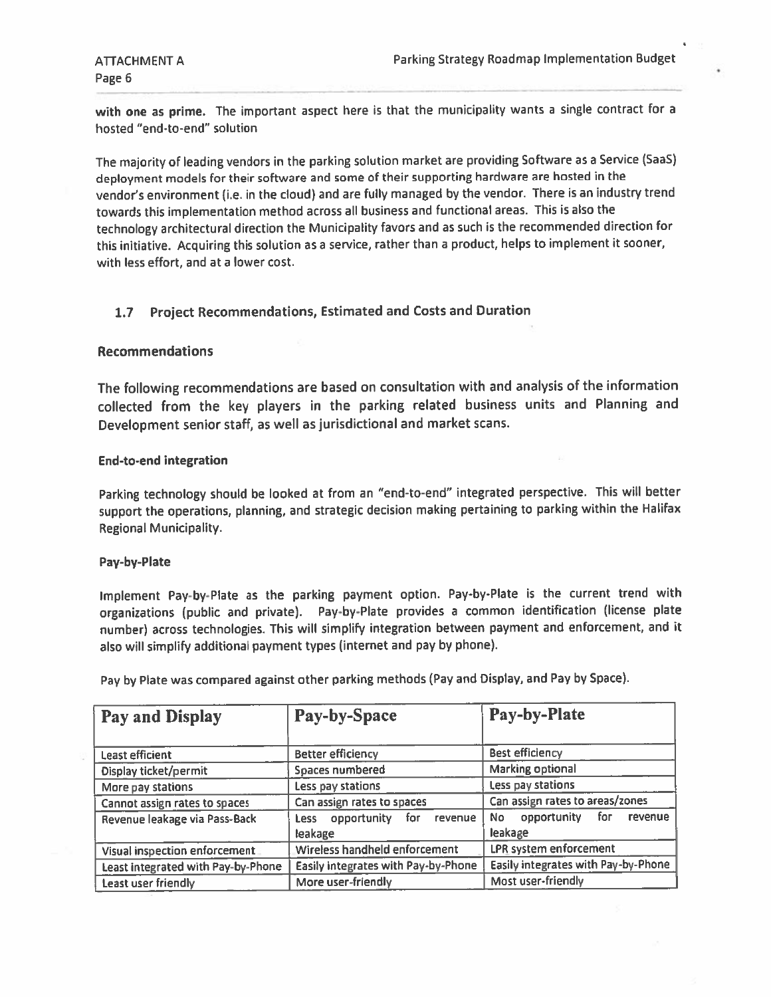with one as prime. The important aspect here is that the municipality wants a single contract for a hosted "end-to-end" solution

The majority of leading vendors in the parking solution market are providing Software as <sup>a</sup> Service (SaaS) deployment models for their software and some of their supporting hardware are hosted in the vendor's environment (i.e. in the cloud) and are fully manage<sup>d</sup> by the vendor, There is an industry trend towards this implementation method across all business and functional areas. This is also the technology architectural direction the Municipality favors and as such is the recommended direction for this initiative. Acquiring this solution as <sup>a</sup> service, rather than <sup>a</sup> product, helps to implement it sooner, with less effort, and at <sup>a</sup> lower cost.

# 1.7 Project Recommendations, Estimated and Costs and Duration

# Recommendations

The following recommendations are based on consultation with and analysis of the information collected from the key <sup>p</sup>layers in the parking related business units and Planning and Development senior staff, as well as jurisdictional and market scans.

### End-to-end integration

Parking technology should be looked at from an "end-to-end" integrated perspective. This will better suppor<sup>t</sup> the operations, <sup>p</sup>lanning, and strategic decision making pertaining to parking within the Halifax Regional Municipality.

### Pay-by-Plate

Implement Pay-by-Plate as the parking paymen<sup>t</sup> option. Pay-by-Plate is the current trend with organizations (public and private). Pay-by-Plate provides <sup>a</sup> common identification (license <sup>p</sup>late number) across technologies. This will simplify integration between paymen<sup>t</sup> and enforcement, and it also will simplify additional paymen<sup>t</sup> types (internet and pay by <sup>p</sup>hone).

| <b>Pay and Display</b>             | Pay-by-Space                               | Pay-by-Plate                                 |  |
|------------------------------------|--------------------------------------------|----------------------------------------------|--|
| Least efficient                    | <b>Better efficiency</b>                   | <b>Best efficiency</b>                       |  |
| Display ticket/permit              | Spaces numbered                            | Marking optional                             |  |
| More pay stations                  | Less pay stations                          | Less pay stations                            |  |
| Cannot assign rates to spaces      | Can assign rates to spaces                 | Can assign rates to areas/zones              |  |
| Revenue leakage via Pass-Back      | Less opportunity for<br>revenue<br>leakage | opportunity for<br>No.<br>revenue<br>leakage |  |
| Visual inspection enforcement      | Wireless handheld enforcement              | <b>LPR</b> system enforcement                |  |
| Least integrated with Pay-by-Phone | Easily integrates with Pay-by-Phone        | Easily integrates with Pay-by-Phone          |  |
| Least user friendly                | More user-friendly                         | Most user-friendly                           |  |

Pay by Plate was compare<sup>d</sup> against other parking methods (Pay and Display, and Pay by Space).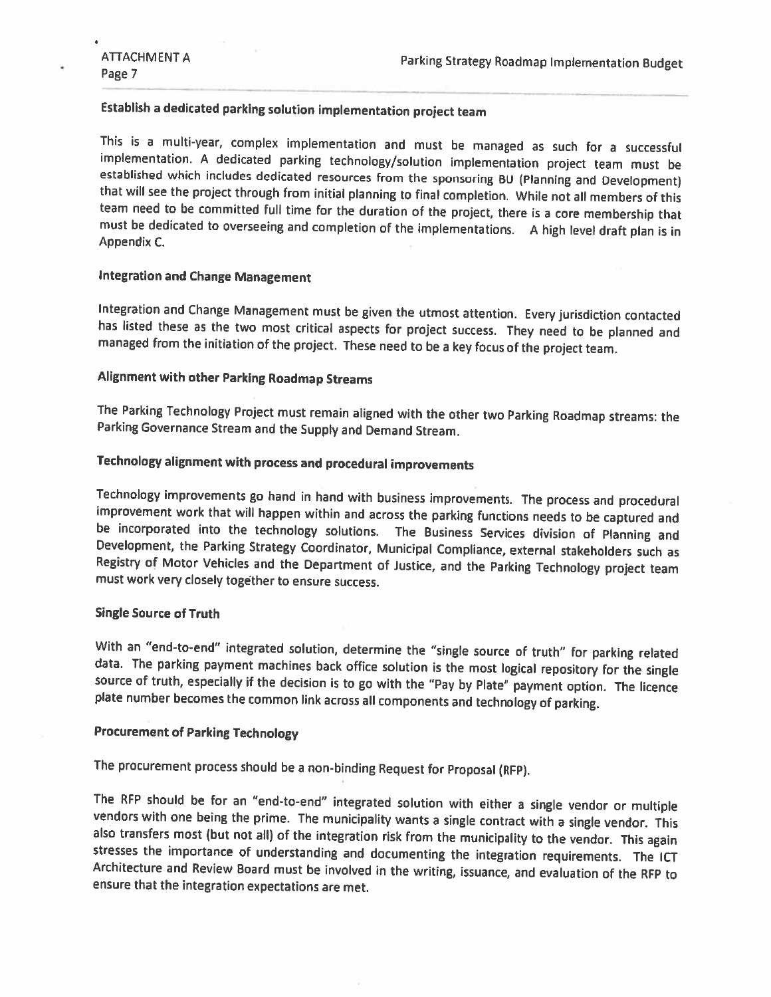# Establish <sup>a</sup> dedicated parking solution implementation project team

This is a multi-year, complex implementation and must be managed as such for a successful implementation. A dedicated parking technology/solution implementation project team must be established which includes dedicated res must be dedicated to overseeing and completion of the implementations. A high level draft plan is in Appendix C.

# Integration and Change Management

Integration and Change Management must be given the utmost attention. Every jurisdiction contacted<br>has listed these as the two most critical aspects for project success. They need to be planned and<br>managed from the initiat

# Alignment with other Parking Roadmap Streams

The Parking Technology Project must remain aligned with the other two Parking Roadmap streams: the Parking Governance Stream and the Supply and Demand Stream.

# Technology alignment with process and procedural improvements

Technology improvements go hand in hand with business improvements. The process and procedural improvement work that will happen within and across the parking functions needs to be captured and be incorporated into the tec Registry of Motor Vehicles and the Department of Justice, and the Parking Technology project team must work very closely together to ensure success.

### Single Source of Truth

With an "end-to-end" integrated solution, determine the "single source of truth" for parking related data. The parking payment machines back office solution is the most logical repository for the single source of truth, especially if the decision is to go with the "Pay by Plate" payment option. The licence <sup>p</sup>late number becomes the common link across all components and technology of parking.

### Procurement of Parking Technology

The procurement process should be <sup>a</sup> non-binding Request for Proposal (RFP).

The RFP should be for an "end-to-end" integrated solution with either a single vendor or multiple vendors with one being the prime. The municipality wants a single contract with a single vendor. This also transfers most (b ensure that the integration expectations are met.